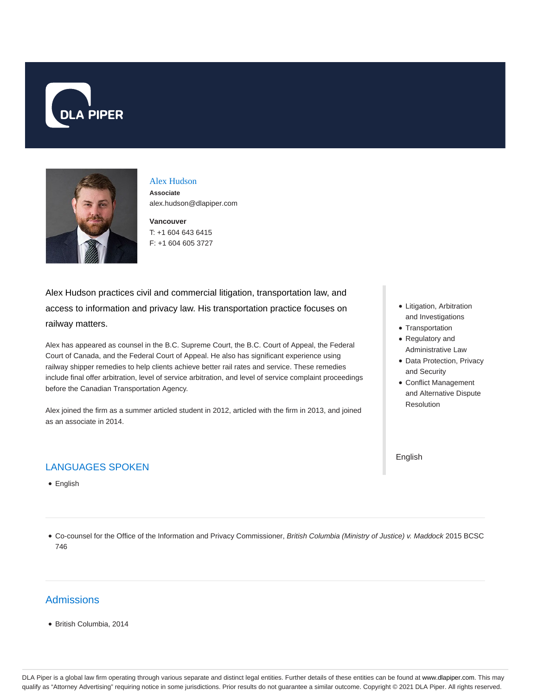



# Alex Hudson **Associate**

**Vancouver** alex.hudson@dlapiper.com

T: +1 604 643 6415 F: +1 604 605 3727

Alex Hudson practices civil and commercial litigation, transportation law, and access to information and privacy law. His transportation practice focuses on railway matters.

Alex has appeared as counsel in the B.C. Supreme Court, the B.C. Court of Appeal, the Federal Court of Canada, and the Federal Court of Appeal. He also has significant experience using railway shipper remedies to help clients achieve better rail rates and service. These remedies include final offer arbitration, level of service arbitration, and level of service complaint proceedings before the Canadian Transportation Agency.

Alex joined the firm as a summer articled student in 2012, articled with the firm in 2013, and joined as an associate in 2014.

# LANGUAGES SPOKEN

• English

- Litigation, Arbitration and Investigations
- Transportation
- Regulatory and Administrative Law
- Data Protection, Privacy and Security
- Conflict Management and Alternative Dispute Resolution

English

Co-counsel for the Office of the Information and Privacy Commissioner, British Columbia (Ministry of Justice) v. Maddock 2015 BCSC 746

### **Admissions**

British Columbia, 2014

DLA Piper is a global law firm operating through various separate and distinct legal entities. Further details of these entities can be found at www.dlapiper.com. This may qualify as "Attorney Advertising" requiring notice in some jurisdictions. Prior results do not guarantee a similar outcome. Copyright @ 2021 DLA Piper. All rights reserved.